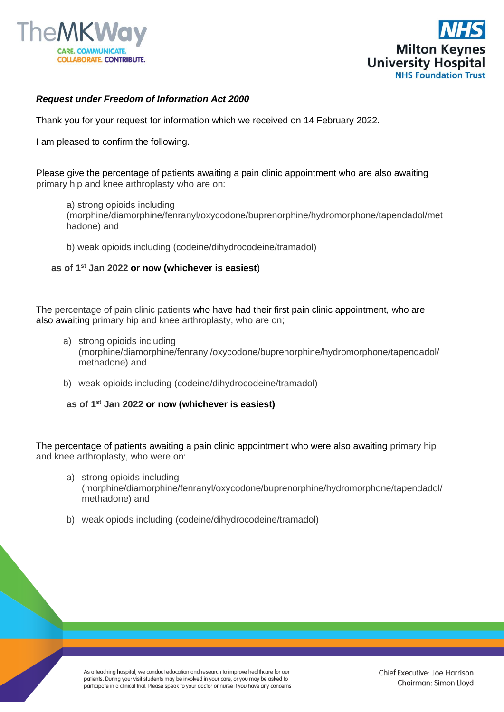



## *Request under Freedom of Information Act 2000*

Thank you for your request for information which we received on 14 February 2022.

I am pleased to confirm the following.

Please give the percentage of patients awaiting a pain clinic appointment who are also awaiting primary hip and knee arthroplasty who are on:

a) strong opioids including (morphine/diamorphine/fenranyl/oxycodone/buprenorphine/hydromorphone/tapendadol/met hadone) and

b) weak opioids including (codeine/dihydrocodeine/tramadol)

**as of 1st Jan 2022 or now (whichever is easiest**)

The percentage of pain clinic patients who have had their first pain clinic appointment, who are also awaiting primary hip and knee arthroplasty, who are on;

- a) strong opioids including (morphine/diamorphine/fenranyl/oxycodone/buprenorphine/hydromorphone/tapendadol/ methadone) and
- b) weak opioids including (codeine/dihydrocodeine/tramadol)

**as of 1st Jan 2022 or now (whichever is easiest)**

The percentage of patients awaiting a pain clinic appointment who were also awaiting primary hip and knee arthroplasty, who were on:

- a) strong opioids including (morphine/diamorphine/fenranyl/oxycodone/buprenorphine/hydromorphone/tapendadol/ methadone) and
- b) weak opiods including (codeine/dihydrocodeine/tramadol)

As a teaching hospital, we conduct education and research to improve healthcare for our patients. During your visit students may be involved in your care, or you may be asked to participate in a clinical trial. Please speak to your doctor or nurse if you have any concerns.